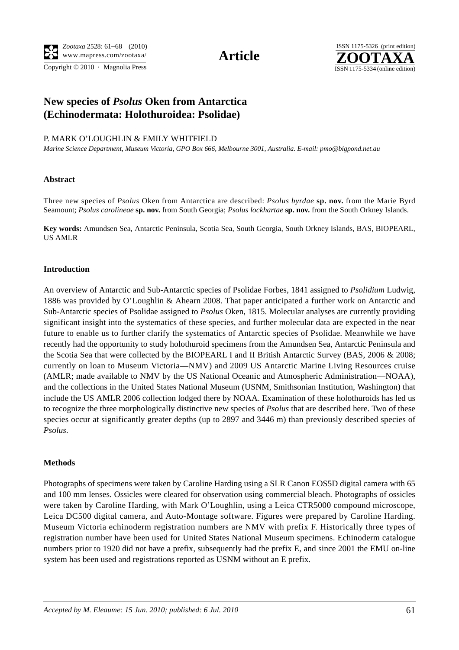Copyright  $© 2010$  · Magnolia Press ISSN 1175-5334 (online edition)



## **New species of** *Psolus* **Oken from Antarctica (Echinodermata: Holothuroidea: Psolidae)**

## P. MARK O'LOUGHLIN & EMILY WHITFIELD

*Marine Science Department, Museum Victoria, GPO Box 666, Melbourne 3001, Australia. E-mail: pmo@bigpond.net.au* 

## **Abstract**

Three new species of *Psolus* Oken from Antarctica are described: *Psolus byrdae* **sp. nov.** from the Marie Byrd Seamount; *Psolus carolineae* **sp. nov.** from South Georgia; *Psolus lockhartae* **sp. nov.** from the South Orkney Islands.

**Key words:** Amundsen Sea, Antarctic Peninsula, Scotia Sea, South Georgia, South Orkney Islands, BAS, BIOPEARL, US AMLR

## **Introduction**

An overview of Antarctic and Sub-Antarctic species of Psolidae Forbes, 1841 assigned to *Psolidium* Ludwig, 1886 was provided by O'Loughlin & Ahearn 2008. That paper anticipated a further work on Antarctic and Sub-Antarctic species of Psolidae assigned to *Psolus* Oken, 1815. Molecular analyses are currently providing significant insight into the systematics of these species, and further molecular data are expected in the near future to enable us to further clarify the systematics of Antarctic species of Psolidae. Meanwhile we have recently had the opportunity to study holothuroid specimens from the Amundsen Sea, Antarctic Peninsula and the Scotia Sea that were collected by the BIOPEARL I and II British Antarctic Survey (BAS, 2006 & 2008; currently on loan to Museum Victoria—NMV) and 2009 US Antarctic Marine Living Resources cruise (AMLR; made available to NMV by the US National Oceanic and Atmospheric Administration—NOAA), and the collections in the United States National Museum (USNM, Smithsonian Institution, Washington) that include the US AMLR 2006 collection lodged there by NOAA. Examination of these holothuroids has led us to recognize the three morphologically distinctive new species of *Psolus* that are described here. Two of these species occur at significantly greater depths (up to 2897 and 3446 m) than previously described species of *Psolus*.

## **Methods**

Photographs of specimens were taken by Caroline Harding using a SLR Canon EOS5D digital camera with 65 and 100 mm lenses. Ossicles were cleared for observation using commercial bleach. Photographs of ossicles were taken by Caroline Harding, with Mark O'Loughlin, using a Leica CTR5000 compound microscope, Leica DC500 digital camera, and Auto-Montage software. Figures were prepared by Caroline Harding. Museum Victoria echinoderm registration numbers are NMV with prefix F. Historically three types of registration number have been used for United States National Museum specimens. Echinoderm catalogue numbers prior to 1920 did not have a prefix, subsequently had the prefix E, and since 2001 the EMU on-line system has been used and registrations reported as USNM without an E prefix.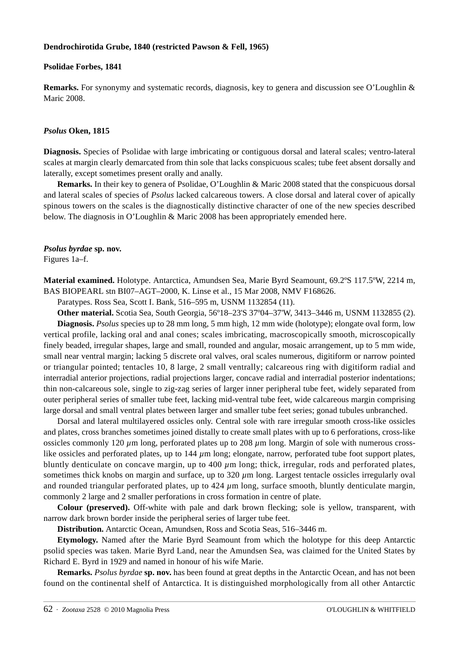## **Dendrochirotida Grube, 1840 (restricted Pawson & Fell, 1965)**

#### **Psolidae Forbes, 1841**

**Remarks.** For synonymy and systematic records, diagnosis, key to genera and discussion see O'Loughlin & Maric 2008.

#### *Psolus* **Oken, 1815**

**Diagnosis.** Species of Psolidae with large imbricating or contiguous dorsal and lateral scales; ventro-lateral scales at margin clearly demarcated from thin sole that lacks conspicuous scales; tube feet absent dorsally and laterally, except sometimes present orally and anally.

**Remarks.** In their key to genera of Psolidae, O'Loughlin & Maric 2008 stated that the conspicuous dorsal and lateral scales of species of *Psolus* lacked calcareous towers. A close dorsal and lateral cover of apically spinous towers on the scales is the diagnostically distinctive character of one of the new species described below. The diagnosis in O'Loughlin & Maric 2008 has been appropriately emended here.

## *Psolus byrdae* **sp. nov.**

Figures 1a–f.

**Material examined.** Holotype. Antarctica, Amundsen Sea, Marie Byrd Seamount, 69.2ºS 117.5ºW, 2214 m, BAS BIOPEARL stn BI07–AGT–2000, K. Linse et al., 15 Mar 2008, NMV F168626.

Paratypes. Ross Sea, Scott I. Bank, 516–595 m, USNM 1132854 (11).

**Other material.** Scotia Sea, South Georgia, 56º18–23'S 37º04–37'W, 3413–3446 m, USNM 1132855 (2). **Diagnosis.** *Psolus* species up to 28 mm long, 5 mm high, 12 mm wide (holotype); elongate oval form, low vertical profile, lacking oral and anal cones; scales imbricating, macroscopically smooth, microscopically finely beaded, irregular shapes, large and small, rounded and angular, mosaic arrangement, up to 5 mm wide, small near ventral margin; lacking 5 discrete oral valves, oral scales numerous, digitiform or narrow pointed or triangular pointed; tentacles 10, 8 large, 2 small ventrally; calcareous ring with digitiform radial and interradial anterior projections, radial projections larger, concave radial and interradial posterior indentations; thin non-calcareous sole, single to zig-zag series of larger inner peripheral tube feet, widely separated from outer peripheral series of smaller tube feet, lacking mid-ventral tube feet, wide calcareous margin comprising large dorsal and small ventral plates between larger and smaller tube feet series; gonad tubules unbranched.

Dorsal and lateral multilayered ossicles only. Central sole with rare irregular smooth cross-like ossicles and plates, cross branches sometimes joined distally to create small plates with up to 6 perforations, cross-like ossicles commonly 120 *µ*m long, perforated plates up to 208 *µ*m long. Margin of sole with numerous crosslike ossicles and perforated plates, up to 144 *µ*m long; elongate, narrow, perforated tube foot support plates, bluntly denticulate on concave margin, up to 400 *µ*m long; thick, irregular, rods and perforated plates, sometimes thick knobs on margin and surface, up to  $320 \mu m$  long. Largest tentacle ossicles irregularly oval and rounded triangular perforated plates, up to  $424 \mu m$  long, surface smooth, bluntly denticulate margin, commonly 2 large and 2 smaller perforations in cross formation in centre of plate.

**Colour (preserved).** Off-white with pale and dark brown flecking; sole is yellow, transparent, with narrow dark brown border inside the peripheral series of larger tube feet.

**Distribution.** Antarctic Ocean, Amundsen, Ross and Scotia Seas, 516–3446 m.

**Etymology.** Named after the Marie Byrd Seamount from which the holotype for this deep Antarctic psolid species was taken. Marie Byrd Land, near the Amundsen Sea, was claimed for the United States by Richard E. Byrd in 1929 and named in honour of his wife Marie.

**Remarks.** *Psolus byrdae* **sp. nov.** has been found at great depths in the Antarctic Ocean, and has not been found on the continental shelf of Antarctica. It is distinguished morphologically from all other Antarctic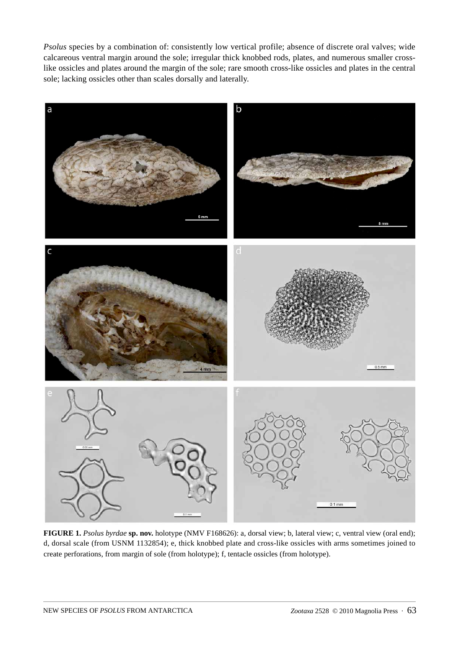*Psolus* species by a combination of: consistently low vertical profile; absence of discrete oral valves; wide calcareous ventral margin around the sole; irregular thick knobbed rods, plates, and numerous smaller crosslike ossicles and plates around the margin of the sole; rare smooth cross-like ossicles and plates in the central sole; lacking ossicles other than scales dorsally and laterally.



**FIGURE 1.** *Psolus byrdae* **sp. nov.** holotype (NMV F168626): a, dorsal view; b, lateral view; c, ventral view (oral end); d, dorsal scale (from USNM 1132854); e, thick knobbed plate and cross-like ossicles with arms sometimes joined to create perforations, from margin of sole (from holotype); f, tentacle ossicles (from holotype).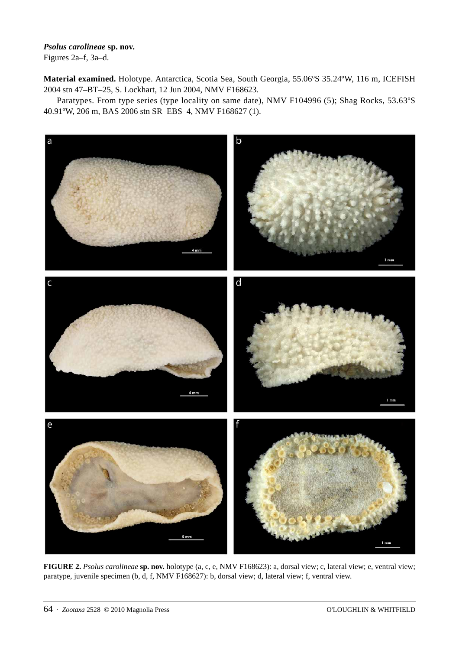# *Psolus carolineae* **sp. nov.**

Figures 2a–f, 3a–d.

**Material examined.** Holotype. Antarctica, Scotia Sea, South Georgia, 55.06ºS 35.24ºW, 116 m, ICEFISH 2004 stn 47–BT–25, S. Lockhart, 12 Jun 2004, NMV F168623.

Paratypes. From type series (type locality on same date), NMV F104996 (5); Shag Rocks, 53.63ºS 40.91ºW, 206 m, BAS 2006 stn SR–EBS–4, NMV F168627 (1).



**FIGURE 2.** *Psolus carolineae* **sp. nov.** holotype (a, c, e, NMV F168623): a, dorsal view; c, lateral view; e, ventral view; paratype, juvenile specimen (b, d, f, NMV F168627): b, dorsal view; d, lateral view; f, ventral view.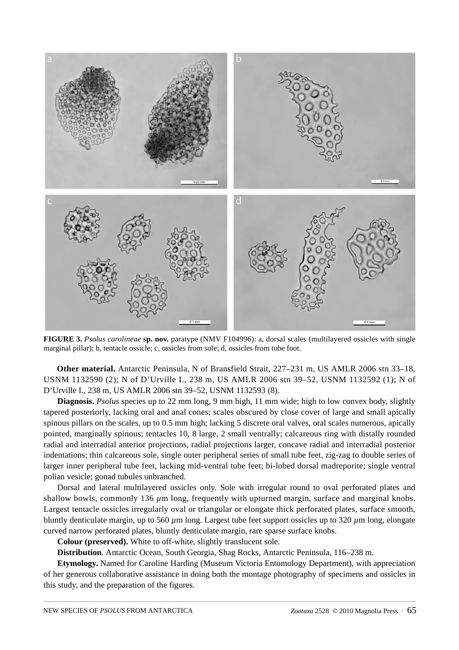

**FIGURE 3.** *Psolus carolineae* **sp. nov.** paratype (NMV F104996): a, dorsal scales (multilayered ossicles with single marginal pillar); b, tentacle ossicle; c, ossicles from sole; d, ossicles from tube foot.

**Other material.** Antarctic Peninsula, N of Bransfield Strait, 227–231 m, US AMLR 2006 stn 33–18, USNM 1132590 (2); N of D'Urville I., 238 m, US AMLR 2006 stn 39–52, USNM 1132592 (1); N of D'Urville I., 238 m, US AMLR 2006 stn 39–52, USNM 1132593 (8).

**Diagnosis.** *Psolus* species up to 22 mm long, 9 mm high, 11 mm wide; high to low convex body, slightly tapered posteriorly, lacking oral and anal cones; scales obscured by close cover of large and small apically spinous pillars on the scales, up to 0.5 mm high; lacking 5 discrete oral valves, oral scales numerous, apically pointed, marginally spinous; tentacles 10, 8 large, 2 small ventrally; calcareous ring with distally rounded radial and interradial anterior projections, radial projections larger, concave radial and interradial posterior indentations; thin calcareous sole, single outer peripheral series of small tube feet, zig-zag to double series of larger inner peripheral tube feet, lacking mid-ventral tube feet; bi-lobed dorsal madreporite; single ventral polian vesicle; gonad tubules unbranched.

Dorsal and lateral multilayered ossicles only. Sole with irregular round to oval perforated plates and shallow bowls, commonly 136  $\mu$ m long, frequently with upturned margin, surface and marginal knobs. Largest tentacle ossicles irregularly oval or triangular or elongate thick perforated plates, surface smooth, bluntly denticulate margin, up to 560 *µ*m long. Largest tube feet support ossicles up to 320 *µ*m long, elongate curved narrow perforated plates, bluntly denticulate margin, rare sparse surface knobs.

**Colour (preserved).** White to off-white, slightly translucent sole.

**Distribution**. Antarctic Ocean, South Georgia, Shag Rocks, Antarctic Peninsula, 116–238 m.

**Etymology.** Named for Caroline Harding (Museum Victoria Entomology Department), with appreciation of her generous collaborative assistance in doing both the montage photography of specimens and ossicles in this study, and the preparation of the figures.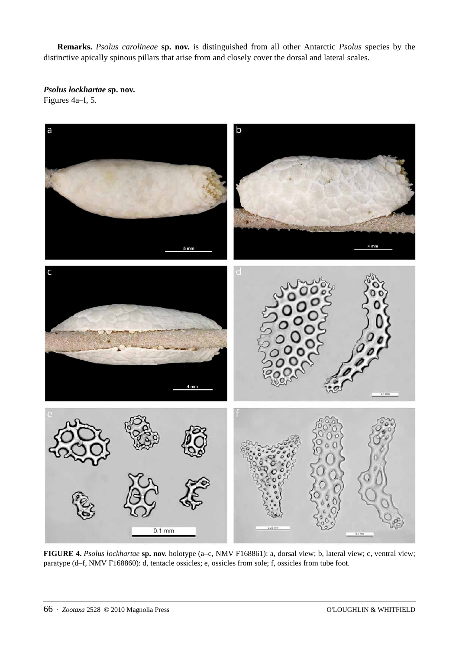**Remarks.** *Psolus carolineae* **sp. nov.** is distinguished from all other Antarctic *Psolus* species by the distinctive apically spinous pillars that arise from and closely cover the dorsal and lateral scales.

*Psolus lockhartae* **sp. nov.** Figures 4a–f, 5.



**FIGURE 4.** *Psolus lockhartae* **sp. nov.** holotype (a–c, NMV F168861): a, dorsal view; b, lateral view; c, ventral view; paratype (d–f, NMV F168860): d, tentacle ossicles; e, ossicles from sole; f, ossicles from tube foot.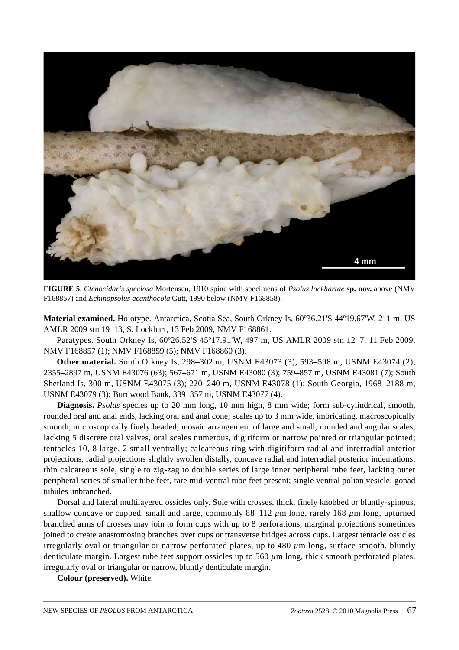

**FIGURE 5**. *Ctenocidaris speciosa* Mortensen, 1910 spine with specimens of *Psolus lockhartae* **sp. nov.** above (NMV F168857) and *Echinopsolus acanthocola* Gutt, 1990 below (NMV F168858).

**Material examined.** Holotype. Antarctica, Scotia Sea, South Orkney Is, 60º36.21'S 44º19.67'W, 211 m, US AMLR 2009 stn 19–13, S. Lockhart, 13 Feb 2009, NMV F168861.

Paratypes. South Orkney Is, 60º26.52'S 45º17.91'W, 497 m, US AMLR 2009 stn 12–7, 11 Feb 2009, NMV F168857 (1); NMV F168859 (5); NMV F168860 (3).

**Other material.** South Orkney Is, 298–302 m, USNM E43073 (3); 593–598 m, USNM E43074 (2); 2355–2897 m, USNM E43076 (63); 567–671 m, USNM E43080 (3); 759–857 m, USNM E43081 (7); South Shetland Is, 300 m, USNM E43075 (3); 220–240 m, USNM E43078 (1); South Georgia, 1968–2188 m, USNM E43079 (3); Burdwood Bank, 339–357 m, USNM E43077 (4).

**Diagnosis.** *Psolus* species up to 20 mm long, 10 mm high, 8 mm wide; form sub-cylindrical, smooth, rounded oral and anal ends, lacking oral and anal cone; scales up to 3 mm wide, imbricating, macroscopically smooth, microscopically finely beaded, mosaic arrangement of large and small, rounded and angular scales; lacking 5 discrete oral valves, oral scales numerous, digitiform or narrow pointed or triangular pointed; tentacles 10, 8 large, 2 small ventrally; calcareous ring with digitiform radial and interradial anterior projections, radial projections slightly swollen distally, concave radial and interradial posterior indentations; thin calcareous sole, single to zig-zag to double series of large inner peripheral tube feet, lacking outer peripheral series of smaller tube feet, rare mid-ventral tube feet present; single ventral polian vesicle; gonad tubules unbranched.

Dorsal and lateral multilayered ossicles only. Sole with crosses, thick, finely knobbed or bluntly-spinous, shallow concave or cupped, small and large, commonly 88–112 *µ*m long, rarely 168 *µ*m long, upturned branched arms of crosses may join to form cups with up to 8 perforations, marginal projections sometimes joined to create anastomosing branches over cups or transverse bridges across cups. Largest tentacle ossicles irregularly oval or triangular or narrow perforated plates, up to 480 *µ*m long, surface smooth, bluntly denticulate margin. Largest tube feet support ossicles up to 560 *µ*m long, thick smooth perforated plates, irregularly oval or triangular or narrow, bluntly denticulate margin.

**Colour (preserved).** White.